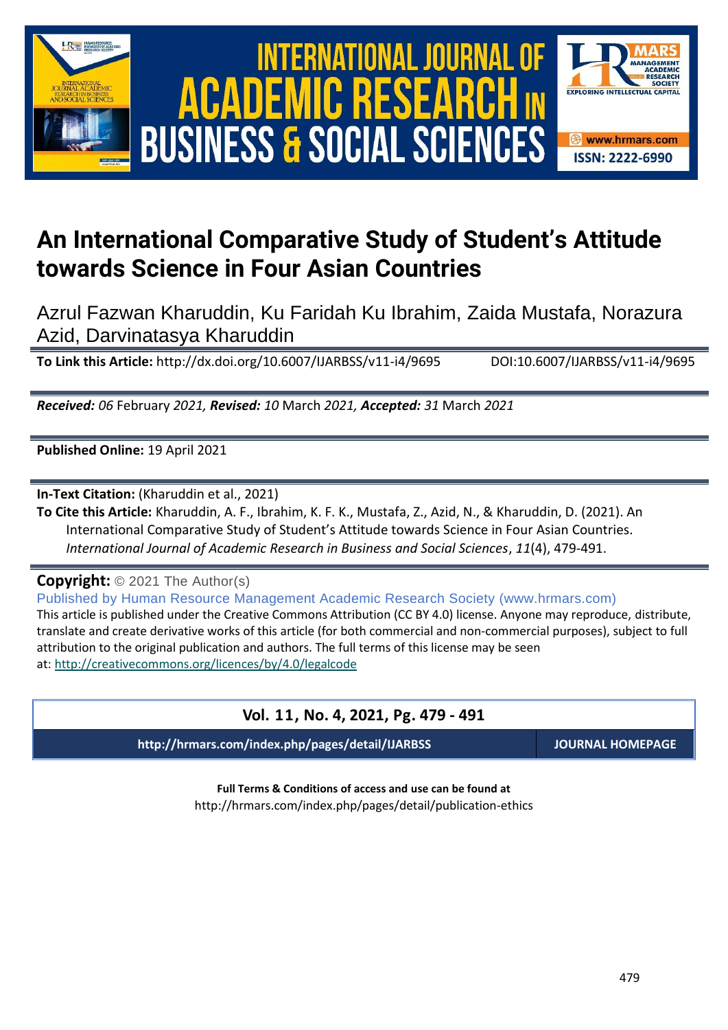





# **An International Comparative Study of Student's Attitude towards Science in Four Asian Countries**

Azrul Fazwan Kharuddin, Ku Faridah Ku Ibrahim, Zaida Mustafa, Norazura Azid, Darvinatasya Kharuddin

**To Link this Article:** http://dx.doi.org/10.6007/IJARBSS/v11-i4/9695 DOI:10.6007/IJARBSS/v11-i4/9695

*Received: 06* February *2021, Revised: 10* March *2021, Accepted: 31* March *2021*

**Published Online:** 19 April 2021

**In-Text Citation:** (Kharuddin et al., 2021)

**To Cite this Article:** Kharuddin, A. F., Ibrahim, K. F. K., Mustafa, Z., Azid, N., & Kharuddin, D. (2021). An International Comparative Study of Student's Attitude towards Science in Four Asian Countries. *International Journal of Academic Research in Business and Social Sciences*, *11*(4), 479-491.

**Copyright:** © 2021 The Author(s)

Published by Human Resource Management Academic Research Society (www.hrmars.com) This article is published under the Creative Commons Attribution (CC BY 4.0) license. Anyone may reproduce, distribute, translate and create derivative works of this article (for both commercial and non-commercial purposes), subject to full attribution to the original publication and authors. The full terms of this license may be seen at: <http://creativecommons.org/licences/by/4.0/legalcode>

# **Vol. 11, No. 4, 2021, Pg. 479 - 491**

**http://hrmars.com/index.php/pages/detail/IJARBSS JOURNAL HOMEPAGE**

**Full Terms & Conditions of access and use can be found at** http://hrmars.com/index.php/pages/detail/publication-ethics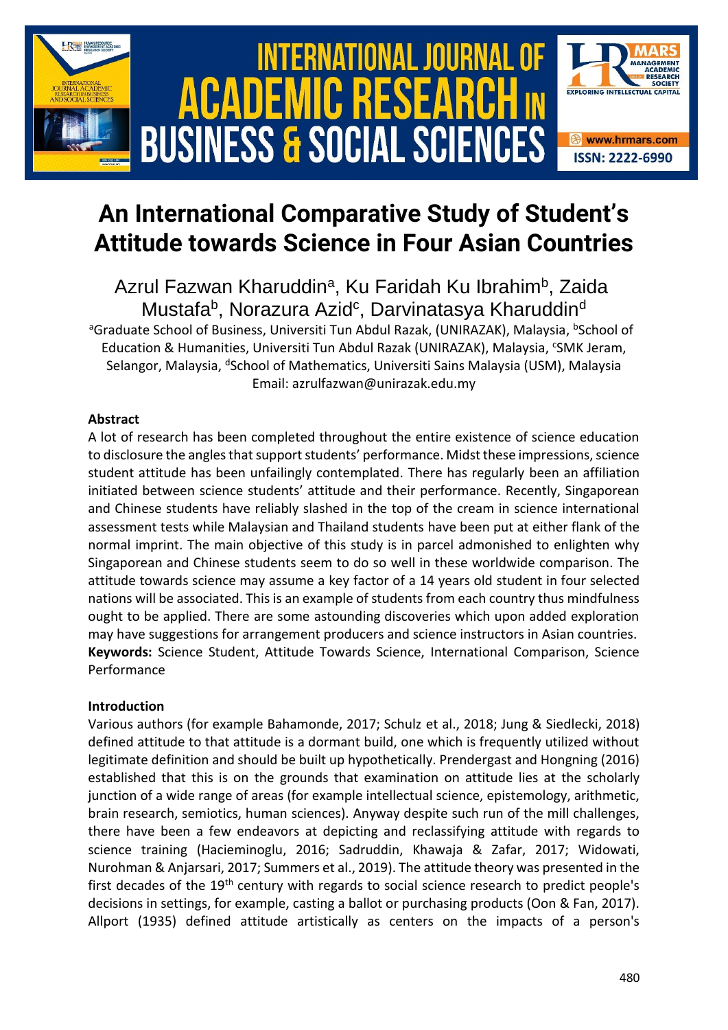

# **An International Comparative Study of Student's Attitude towards Science in Four Asian Countries**

Azrul Fazwan Kharuddin<sup>a</sup>, Ku Faridah Ku Ibrahim<sup>b</sup>, Zaida Mustafa<sup>b</sup>, Norazura Azid<sup>c</sup>, Darvinatasya Kharuddin<sup>d</sup>

<sup>a</sup>Graduate School of Business, Universiti Tun Abdul Razak, (UNIRAZAK), Malaysia, <sup>b</sup>School of Education & Humanities, Universiti Tun Abdul Razak (UNIRAZAK), Malaysia, <sup>c</sup>SMK Jeram, Selangor, Malaysia, <sup>d</sup>School of Mathematics, Universiti Sains Malaysia (USM), Malaysia Email: azrulfazwan@unirazak.edu.my

## **Abstract**

A lot of research has been completed throughout the entire existence of science education to disclosure the angles that support students' performance. Midst these impressions, science student attitude has been unfailingly contemplated. There has regularly been an affiliation initiated between science students' attitude and their performance. Recently, Singaporean and Chinese students have reliably slashed in the top of the cream in science international assessment tests while Malaysian and Thailand students have been put at either flank of the normal imprint. The main objective of this study is in parcel admonished to enlighten why Singaporean and Chinese students seem to do so well in these worldwide comparison. The attitude towards science may assume a key factor of a 14 years old student in four selected nations will be associated. This is an example of students from each country thus mindfulness ought to be applied. There are some astounding discoveries which upon added exploration may have suggestions for arrangement producers and science instructors in Asian countries. **Keywords:** Science Student, Attitude Towards Science, International Comparison, Science Performance

## **Introduction**

Various authors (for example Bahamonde, 2017; Schulz et al., 2018; Jung & Siedlecki, 2018) defined attitude to that attitude is a dormant build, one which is frequently utilized without legitimate definition and should be built up hypothetically. Prendergast and Hongning (2016) established that this is on the grounds that examination on attitude lies at the scholarly junction of a wide range of areas (for example intellectual science, epistemology, arithmetic, brain research, semiotics, human sciences). Anyway despite such run of the mill challenges, there have been a few endeavors at depicting and reclassifying attitude with regards to science training (Hacieminoglu, 2016; Sadruddin, Khawaja & Zafar, 2017; Widowati, Nurohman & Anjarsari, 2017; Summers et al., 2019). The attitude theory was presented in the first decades of the 19<sup>th</sup> century with regards to social science research to predict people's decisions in settings, for example, casting a ballot or purchasing products (Oon & Fan, 2017). Allport (1935) defined attitude artistically as centers on the impacts of a person's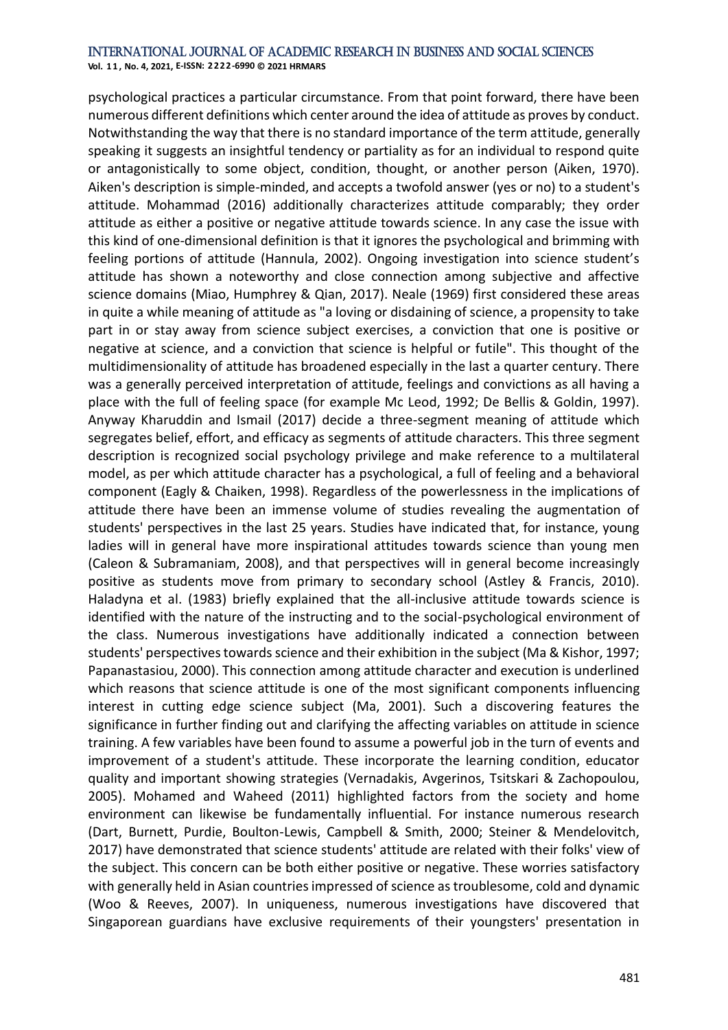**Vol. 1 1 , No. 4, 2021, E-ISSN: 2222-6990 © 2021 HRMARS**

psychological practices a particular circumstance. From that point forward, there have been numerous different definitions which center around the idea of attitude as proves by conduct. Notwithstanding the way that there is no standard importance of the term attitude, generally speaking it suggests an insightful tendency or partiality as for an individual to respond quite or antagonistically to some object, condition, thought, or another person (Aiken, 1970). Aiken's description is simple-minded, and accepts a twofold answer (yes or no) to a student's attitude. Mohammad (2016) additionally characterizes attitude comparably; they order attitude as either a positive or negative attitude towards science. In any case the issue with this kind of one-dimensional definition is that it ignores the psychological and brimming with feeling portions of attitude (Hannula, 2002). Ongoing investigation into science student's attitude has shown a noteworthy and close connection among subjective and affective science domains (Miao, Humphrey & Qian, 2017). Neale (1969) first considered these areas in quite a while meaning of attitude as "a loving or disdaining of science, a propensity to take part in or stay away from science subject exercises, a conviction that one is positive or negative at science, and a conviction that science is helpful or futile". This thought of the multidimensionality of attitude has broadened especially in the last a quarter century. There was a generally perceived interpretation of attitude, feelings and convictions as all having a place with the full of feeling space (for example Mc Leod, 1992; De Bellis & Goldin, 1997). Anyway Kharuddin and Ismail (2017) decide a three-segment meaning of attitude which segregates belief, effort, and efficacy as segments of attitude characters. This three segment description is recognized social psychology privilege and make reference to a multilateral model, as per which attitude character has a psychological, a full of feeling and a behavioral component (Eagly & Chaiken, 1998). Regardless of the powerlessness in the implications of attitude there have been an immense volume of studies revealing the augmentation of students' perspectives in the last 25 years. Studies have indicated that, for instance, young ladies will in general have more inspirational attitudes towards science than young men (Caleon & Subramaniam, 2008), and that perspectives will in general become increasingly positive as students move from primary to secondary school (Astley & Francis, 2010). Haladyna et al. (1983) briefly explained that the all-inclusive attitude towards science is identified with the nature of the instructing and to the social-psychological environment of the class. Numerous investigations have additionally indicated a connection between students' perspectives towards science and their exhibition in the subject (Ma & Kishor, 1997; Papanastasiou, 2000). This connection among attitude character and execution is underlined which reasons that science attitude is one of the most significant components influencing interest in cutting edge science subject (Ma, 2001). Such a discovering features the significance in further finding out and clarifying the affecting variables on attitude in science training. A few variables have been found to assume a powerful job in the turn of events and improvement of a student's attitude. These incorporate the learning condition, educator quality and important showing strategies (Vernadakis, Avgerinos, Tsitskari & Zachopoulou, 2005). Mohamed and Waheed (2011) highlighted factors from the society and home environment can likewise be fundamentally influential. For instance numerous research (Dart, Burnett, Purdie, Boulton-Lewis, Campbell & Smith, 2000; Steiner & Mendelovitch, 2017) have demonstrated that science students' attitude are related with their folks' view of the subject. This concern can be both either positive or negative. These worries satisfactory with generally held in Asian countries impressed of science as troublesome, cold and dynamic (Woo & Reeves, 2007). In uniqueness, numerous investigations have discovered that Singaporean guardians have exclusive requirements of their youngsters' presentation in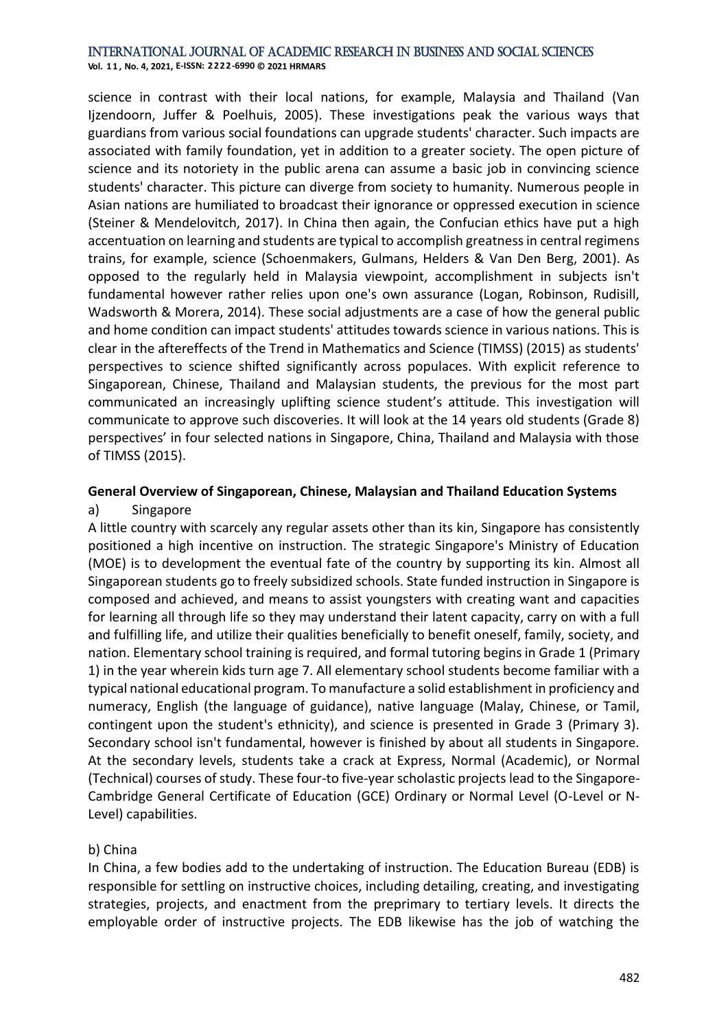**Vol. 1 1 , No. 4, 2021, E-ISSN: 2222-6990 © 2021 HRMARS**

science in contrast with their local nations, for example, Malaysia and Thailand (Van Ijzendoorn, Juffer & Poelhuis, 2005). These investigations peak the various ways that guardians from various social foundations can upgrade students' character. Such impacts are associated with family foundation, yet in addition to a greater society. The open picture of science and its notoriety in the public arena can assume a basic job in convincing science students' character. This picture can diverge from society to humanity. Numerous people in Asian nations are humiliated to broadcast their ignorance or oppressed execution in science (Steiner & Mendelovitch, 2017). In China then again, the Confucian ethics have put a high accentuation on learning and students are typical to accomplish greatness in central regimens trains, for example, science (Schoenmakers, Gulmans, Helders & Van Den Berg, 2001). As opposed to the regularly held in Malaysia viewpoint, accomplishment in subjects isn't fundamental however rather relies upon one's own assurance (Logan, Robinson, Rudisill, Wadsworth & Morera, 2014). These social adjustments are a case of how the general public and home condition can impact students' attitudes towards science in various nations. This is clear in the aftereffects of the Trend in Mathematics and Science (TIMSS) (2015) as students' perspectives to science shifted significantly across populaces. With explicit reference to Singaporean, Chinese, Thailand and Malaysian students, the previous for the most part communicated an increasingly uplifting science student's attitude. This investigation will communicate to approve such discoveries. It will look at the 14 years old students (Grade 8) perspectives' in four selected nations in Singapore, China, Thailand and Malaysia with those of TIMSS (2015).

#### **General Overview of Singaporean, Chinese, Malaysian and Thailand Education Systems** a) Singapore

A little country with scarcely any regular assets other than its kin, Singapore has consistently positioned a high incentive on instruction. The strategic Singapore's Ministry of Education (MOE) is to development the eventual fate of the country by supporting its kin. Almost all Singaporean students go to freely subsidized schools. State funded instruction in Singapore is composed and achieved, and means to assist youngsters with creating want and capacities for learning all through life so they may understand their latent capacity, carry on with a full and fulfilling life, and utilize their qualities beneficially to benefit oneself, family, society, and nation. Elementary school training is required, and formal tutoring begins in Grade 1 (Primary 1) in the year wherein kids turn age 7. All elementary school students become familiar with a typical national educational program. To manufacture a solid establishment in proficiency and numeracy, English (the language of guidance), native language (Malay, Chinese, or Tamil, contingent upon the student's ethnicity), and science is presented in Grade 3 (Primary 3). Secondary school isn't fundamental, however is finished by about all students in Singapore. At the secondary levels, students take a crack at Express, Normal (Academic), or Normal (Technical) courses of study. These four-to five-year scholastic projects lead to the Singapore-Cambridge General Certificate of Education (GCE) Ordinary or Normal Level (O-Level or N-Level) capabilities.

#### b) China

In China, a few bodies add to the undertaking of instruction. The Education Bureau (EDB) is responsible for settling on instructive choices, including detailing, creating, and investigating strategies, projects, and enactment from the preprimary to tertiary levels. It directs the employable order of instructive projects. The EDB likewise has the job of watching the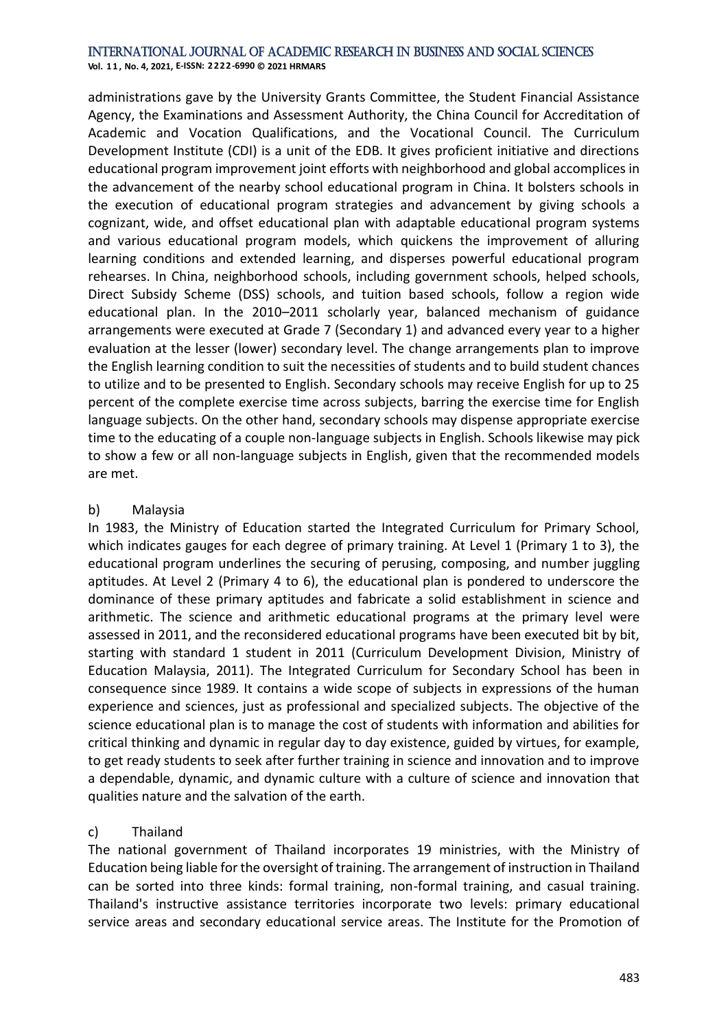**Vol. 1 1 , No. 4, 2021, E-ISSN: 2222-6990 © 2021 HRMARS**

administrations gave by the University Grants Committee, the Student Financial Assistance Agency, the Examinations and Assessment Authority, the China Council for Accreditation of Academic and Vocation Qualifications, and the Vocational Council. The Curriculum Development Institute (CDI) is a unit of the EDB. It gives proficient initiative and directions educational program improvement joint efforts with neighborhood and global accomplices in the advancement of the nearby school educational program in China. It bolsters schools in the execution of educational program strategies and advancement by giving schools a cognizant, wide, and offset educational plan with adaptable educational program systems and various educational program models, which quickens the improvement of alluring learning conditions and extended learning, and disperses powerful educational program rehearses. In China, neighborhood schools, including government schools, helped schools, Direct Subsidy Scheme (DSS) schools, and tuition based schools, follow a region wide educational plan. In the 2010–2011 scholarly year, balanced mechanism of guidance arrangements were executed at Grade 7 (Secondary 1) and advanced every year to a higher evaluation at the lesser (lower) secondary level. The change arrangements plan to improve the English learning condition to suit the necessities of students and to build student chances to utilize and to be presented to English. Secondary schools may receive English for up to 25 percent of the complete exercise time across subjects, barring the exercise time for English language subjects. On the other hand, secondary schools may dispense appropriate exercise time to the educating of a couple non-language subjects in English. Schools likewise may pick to show a few or all non-language subjects in English, given that the recommended models are met.

#### b) Malaysia

In 1983, the Ministry of Education started the Integrated Curriculum for Primary School, which indicates gauges for each degree of primary training. At Level 1 (Primary 1 to 3), the educational program underlines the securing of perusing, composing, and number juggling aptitudes. At Level 2 (Primary 4 to 6), the educational plan is pondered to underscore the dominance of these primary aptitudes and fabricate a solid establishment in science and arithmetic. The science and arithmetic educational programs at the primary level were assessed in 2011, and the reconsidered educational programs have been executed bit by bit, starting with standard 1 student in 2011 (Curriculum Development Division, Ministry of Education Malaysia, 2011). The Integrated Curriculum for Secondary School has been in consequence since 1989. It contains a wide scope of subjects in expressions of the human experience and sciences, just as professional and specialized subjects. The objective of the science educational plan is to manage the cost of students with information and abilities for critical thinking and dynamic in regular day to day existence, guided by virtues, for example, to get ready students to seek after further training in science and innovation and to improve a dependable, dynamic, and dynamic culture with a culture of science and innovation that qualities nature and the salvation of the earth.

#### c) Thailand

The national government of Thailand incorporates 19 ministries, with the Ministry of Education being liable for the oversight of training. The arrangement of instruction in Thailand can be sorted into three kinds: formal training, non-formal training, and casual training. Thailand's instructive assistance territories incorporate two levels: primary educational service areas and secondary educational service areas. The Institute for the Promotion of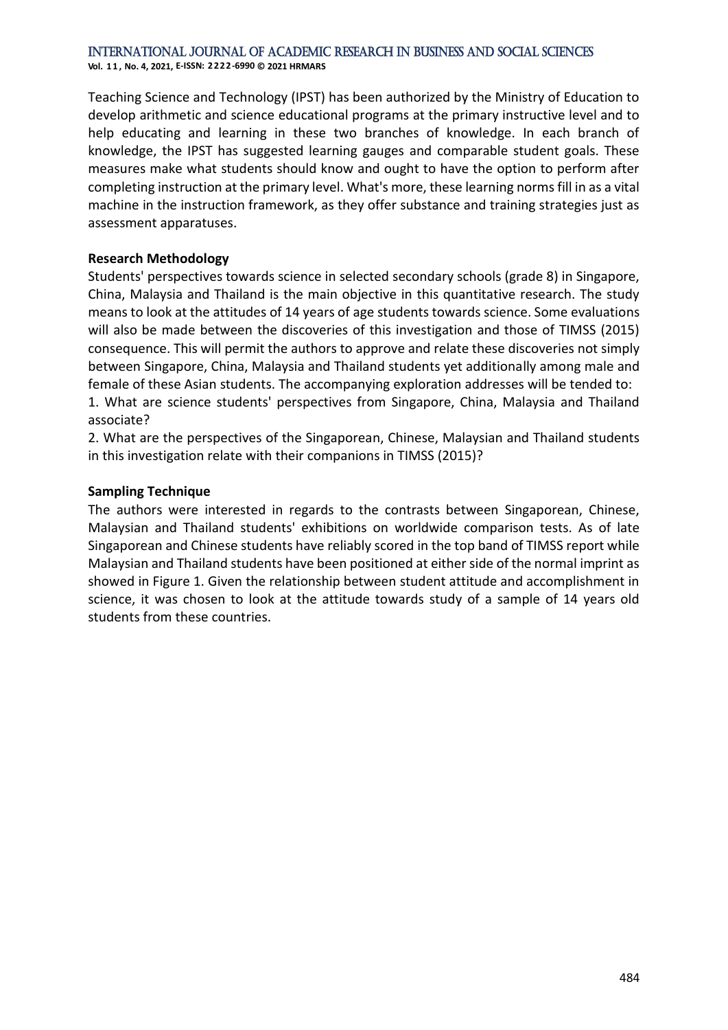**Vol. 1 1 , No. 4, 2021, E-ISSN: 2222-6990 © 2021 HRMARS**

Teaching Science and Technology (IPST) has been authorized by the Ministry of Education to develop arithmetic and science educational programs at the primary instructive level and to help educating and learning in these two branches of knowledge. In each branch of knowledge, the IPST has suggested learning gauges and comparable student goals. These measures make what students should know and ought to have the option to perform after completing instruction at the primary level. What's more, these learning norms fill in as a vital machine in the instruction framework, as they offer substance and training strategies just as assessment apparatuses.

#### **Research Methodology**

Students' perspectives towards science in selected secondary schools (grade 8) in Singapore, China, Malaysia and Thailand is the main objective in this quantitative research. The study means to look at the attitudes of 14 years of age students towards science. Some evaluations will also be made between the discoveries of this investigation and those of TIMSS (2015) consequence. This will permit the authors to approve and relate these discoveries not simply between Singapore, China, Malaysia and Thailand students yet additionally among male and female of these Asian students. The accompanying exploration addresses will be tended to: 1. What are science students' perspectives from Singapore, China, Malaysia and Thailand associate?

2. What are the perspectives of the Singaporean, Chinese, Malaysian and Thailand students in this investigation relate with their companions in TIMSS (2015)?

#### **Sampling Technique**

The authors were interested in regards to the contrasts between Singaporean, Chinese, Malaysian and Thailand students' exhibitions on worldwide comparison tests. As of late Singaporean and Chinese students have reliably scored in the top band of TIMSS report while Malaysian and Thailand students have been positioned at either side of the normal imprint as showed in Figure 1. Given the relationship between student attitude and accomplishment in science, it was chosen to look at the attitude towards study of a sample of 14 years old students from these countries.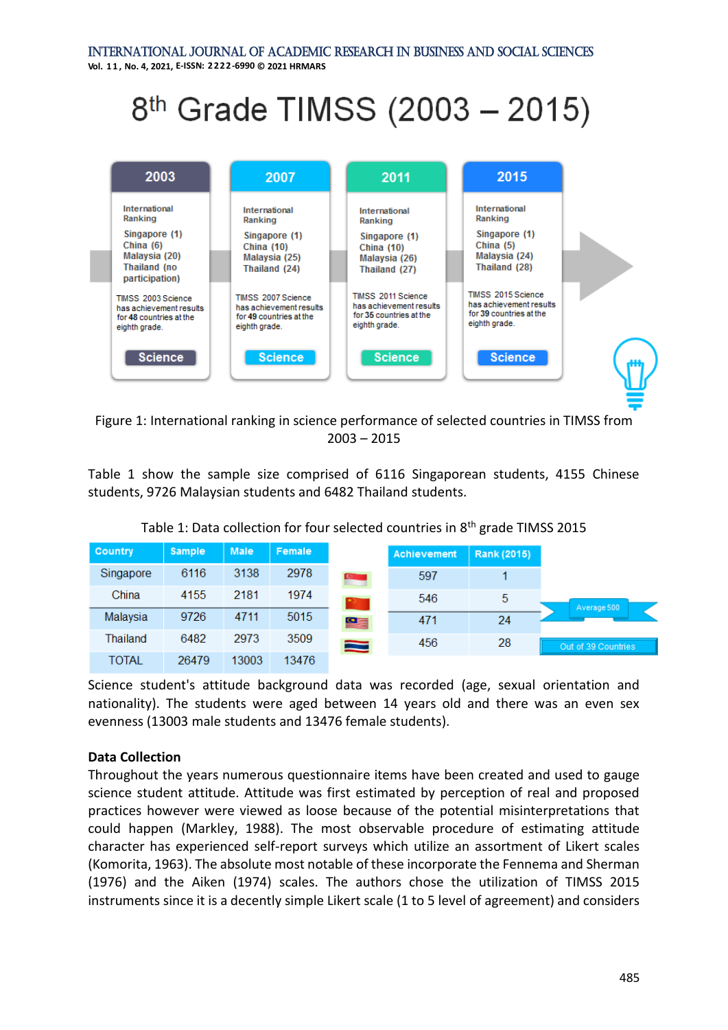**Vol. 1 1 , No. 4, 2021, E-ISSN: 2222-6990 © 2021 HRMARS**

# 8<sup>th</sup> Grade TIMSS (2003 - 2015)



Figure 1: International ranking in science performance of selected countries in TIMSS from 2003 – 2015

Table 1 show the sample size comprised of 6116 Singaporean students, 4155 Chinese students, 9726 Malaysian students and 6482 Thailand students.

| <b>Country</b> | <b>Sample</b> | <b>Male</b> | Female |               | <b>Achievement</b> | <b>Rank (2015)</b> |
|----------------|---------------|-------------|--------|---------------|--------------------|--------------------|
| Singapore      | 6116          | 3138        | 2978   | <b>CENTER</b> | 597                |                    |
| China          | 4155          | 2181        | 1974   |               | 546                | 5                  |
| Malaysia       | 9726          | 4711        | 5015   | ge            | 471                | 24                 |
| Thailand       | 6482          | 2973        | 3509   | ຣ             | 456                | 28                 |
| <b>TOTAL</b>   | 26479         | 13003       | 13476  |               |                    |                    |

Table 1: Data collection for four selected countries in 8<sup>th</sup> grade TIMSS 2015

Science student's attitude background data was recorded (age, sexual orientation and nationality). The students were aged between 14 years old and there was an even sex evenness (13003 male students and 13476 female students).

#### **Data Collection**

Throughout the years numerous questionnaire items have been created and used to gauge science student attitude. Attitude was first estimated by perception of real and proposed practices however were viewed as loose because of the potential misinterpretations that could happen (Markley, 1988). The most observable procedure of estimating attitude character has experienced self-report surveys which utilize an assortment of Likert scales (Komorita, 1963). The absolute most notable of these incorporate the Fennema and Sherman (1976) and the Aiken (1974) scales. The authors chose the utilization of TIMSS 2015 instruments since it is a decently simple Likert scale (1 to 5 level of agreement) and considers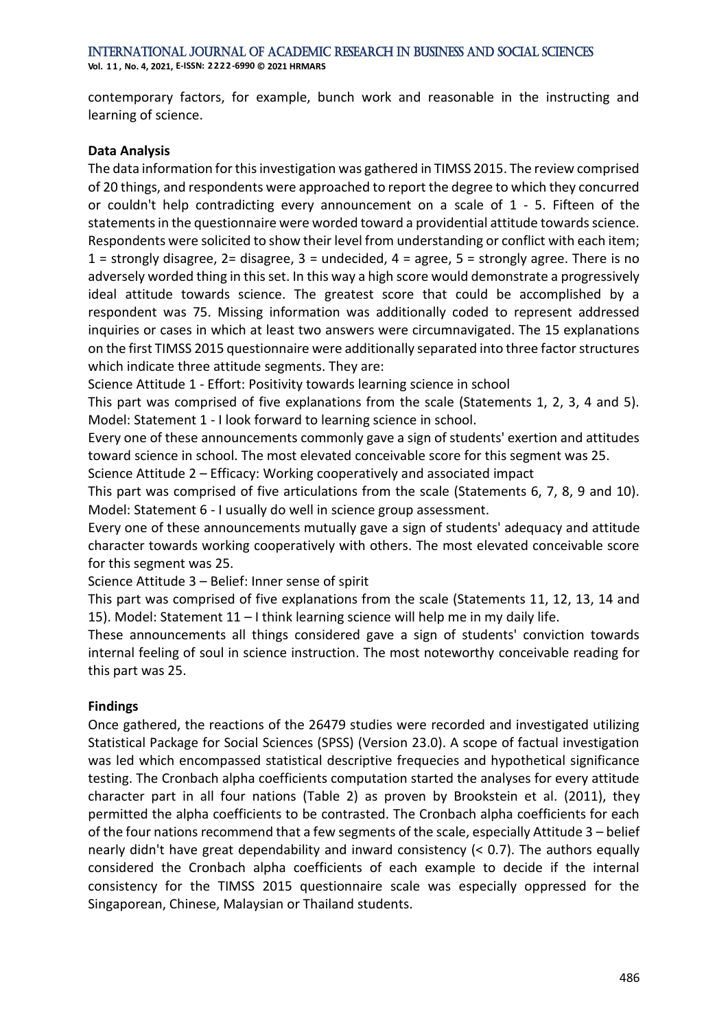contemporary factors, for example, bunch work and reasonable in the instructing and learning of science.

#### **Data Analysis**

The data information for this investigation was gathered in TIMSS 2015. The review comprised of 20 things, and respondents were approached to report the degree to which they concurred or couldn't help contradicting every announcement on a scale of 1 - 5. Fifteen of the statements in the questionnaire were worded toward a providential attitude towards science. Respondents were solicited to show their level from understanding or conflict with each item; 1 = strongly disagree, 2= disagree, 3 = undecided,  $4$  = agree, 5 = strongly agree. There is no adversely worded thing in this set. In this way a high score would demonstrate a progressively ideal attitude towards science. The greatest score that could be accomplished by a respondent was 75. Missing information was additionally coded to represent addressed inquiries or cases in which at least two answers were circumnavigated. The 15 explanations on the first TIMSS 2015 questionnaire were additionally separated into three factor structures which indicate three attitude segments. They are:

Science Attitude 1 - Effort: Positivity towards learning science in school

This part was comprised of five explanations from the scale (Statements 1, 2, 3, 4 and 5). Model: Statement 1 - I look forward to learning science in school.

Every one of these announcements commonly gave a sign of students' exertion and attitudes toward science in school. The most elevated conceivable score for this segment was 25.

Science Attitude 2 – Efficacy: Working cooperatively and associated impact

This part was comprised of five articulations from the scale (Statements 6, 7, 8, 9 and 10). Model: Statement 6 - I usually do well in science group assessment.

Every one of these announcements mutually gave a sign of students' adequacy and attitude character towards working cooperatively with others. The most elevated conceivable score for this segment was 25.

Science Attitude 3 – Belief: Inner sense of spirit

This part was comprised of five explanations from the scale (Statements 11, 12, 13, 14 and 15). Model: Statement 11 – I think learning science will help me in my daily life.

These announcements all things considered gave a sign of students' conviction towards internal feeling of soul in science instruction. The most noteworthy conceivable reading for this part was 25.

#### **Findings**

Once gathered, the reactions of the 26479 studies were recorded and investigated utilizing Statistical Package for Social Sciences (SPSS) (Version 23.0). A scope of factual investigation was led which encompassed statistical descriptive frequecies and hypothetical significance testing. The Cronbach alpha coefficients computation started the analyses for every attitude character part in all four nations (Table 2) as proven by Brookstein et al. (2011), they permitted the alpha coefficients to be contrasted. The Cronbach alpha coefficients for each of the four nations recommend that a few segments of the scale, especially Attitude 3 – belief nearly didn't have great dependability and inward consistency (< 0.7). The authors equally considered the Cronbach alpha coefficients of each example to decide if the internal consistency for the TIMSS 2015 questionnaire scale was especially oppressed for the Singaporean, Chinese, Malaysian or Thailand students.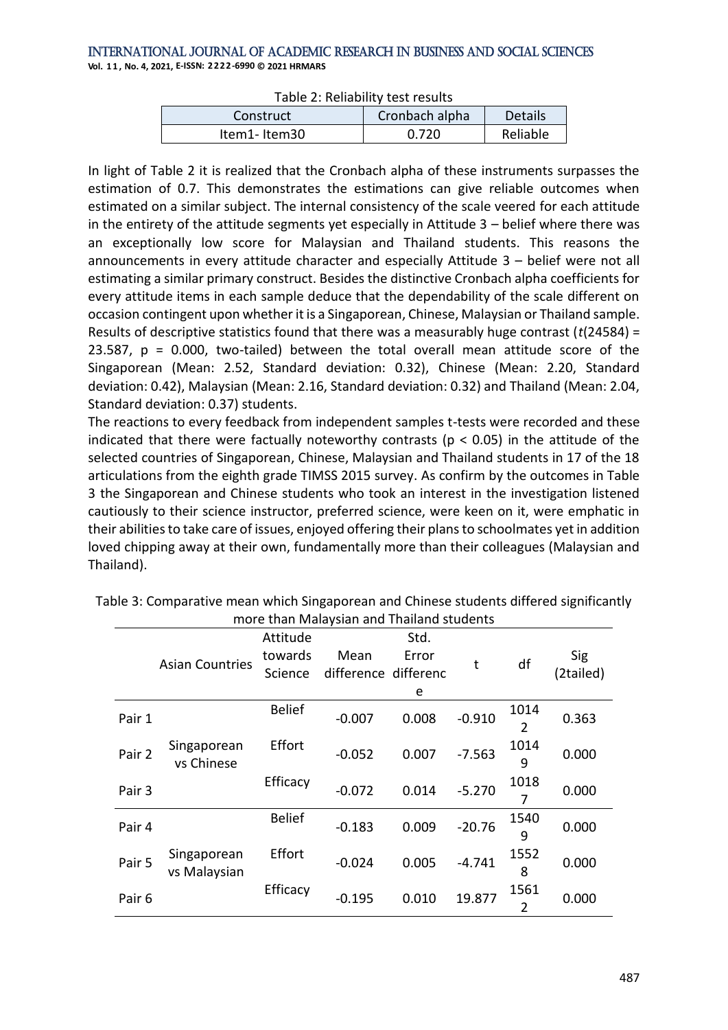**Vol. 1 1 , No. 4, 2021, E-ISSN: 2222-6990 © 2021 HRMARS**

| Table 2. Renability test resarts |                |          |  |  |  |  |  |
|----------------------------------|----------------|----------|--|--|--|--|--|
| Construct                        | Cronbach alpha | Details  |  |  |  |  |  |
| Item1-Item30                     | 0.720          | Reliable |  |  |  |  |  |

In light of Table 2 it is realized that the Cronbach alpha of these instruments surpasses the estimation of 0.7. This demonstrates the estimations can give reliable outcomes when estimated on a similar subject. The internal consistency of the scale veered for each attitude in the entirety of the attitude segments yet especially in Attitude 3 – belief where there was an exceptionally low score for Malaysian and Thailand students. This reasons the announcements in every attitude character and especially Attitude 3 – belief were not all estimating a similar primary construct. Besides the distinctive Cronbach alpha coefficients for every attitude items in each sample deduce that the dependability of the scale different on occasion contingent upon whether it is a Singaporean, Chinese, Malaysian or Thailand sample. Results of descriptive statistics found that there was a measurably huge contrast (*t*(24584) = 23.587,  $p = 0.000$ , two-tailed) between the total overall mean attitude score of the Singaporean (Mean: 2.52, Standard deviation: 0.32), Chinese (Mean: 2.20, Standard deviation: 0.42), Malaysian (Mean: 2.16, Standard deviation: 0.32) and Thailand (Mean: 2.04, Standard deviation: 0.37) students.

The reactions to every feedback from independent samples t-tests were recorded and these indicated that there were factually noteworthy contrasts ( $p < 0.05$ ) in the attitude of the selected countries of Singaporean, Chinese, Malaysian and Thailand students in 17 of the 18 articulations from the eighth grade TIMSS 2015 survey. As confirm by the outcomes in Table 3 the Singaporean and Chinese students who took an interest in the investigation listened cautiously to their science instructor, preferred science, were keen on it, were emphatic in their abilities to take care of issues, enjoyed offering their plans to schoolmates yet in addition loved chipping away at their own, fundamentally more than their colleagues (Malaysian and Thailand).

| more than Malaysian and Thailand students |                             |                                |                              |                    |          |                        |                  |  |
|-------------------------------------------|-----------------------------|--------------------------------|------------------------------|--------------------|----------|------------------------|------------------|--|
|                                           | <b>Asian Countries</b>      | Attitude<br>towards<br>Science | Mean<br>difference differenc | Std.<br>Error<br>e | t        | df                     | Sig<br>(2tailed) |  |
| Pair 1                                    | Singaporean<br>vs Chinese   | <b>Belief</b>                  | $-0.007$                     | 0.008              | $-0.910$ | 1014<br>$\overline{2}$ | 0.363            |  |
| Pair 2                                    |                             | Effort                         | $-0.052$                     | 0.007              | $-7.563$ | 1014<br>9              | 0.000            |  |
| Pair 3                                    |                             | Efficacy                       | $-0.072$                     | 0.014              | $-5.270$ | 1018<br>7              | 0.000            |  |
| Pair 4                                    | Singaporean<br>vs Malaysian | <b>Belief</b>                  | $-0.183$                     | 0.009              | $-20.76$ | 1540<br>9              | 0.000            |  |
| Pair 5                                    |                             | Effort                         | $-0.024$                     | 0.005              | $-4.741$ | 1552<br>8              | 0.000            |  |
| Pair <sub>6</sub>                         |                             | Efficacy                       | $-0.195$                     | 0.010              | 19.877   | 1561<br>$\overline{2}$ | 0.000            |  |

Table 3: Comparative mean which Singaporean and Chinese students differed significantly more than Malaysian and Thailand students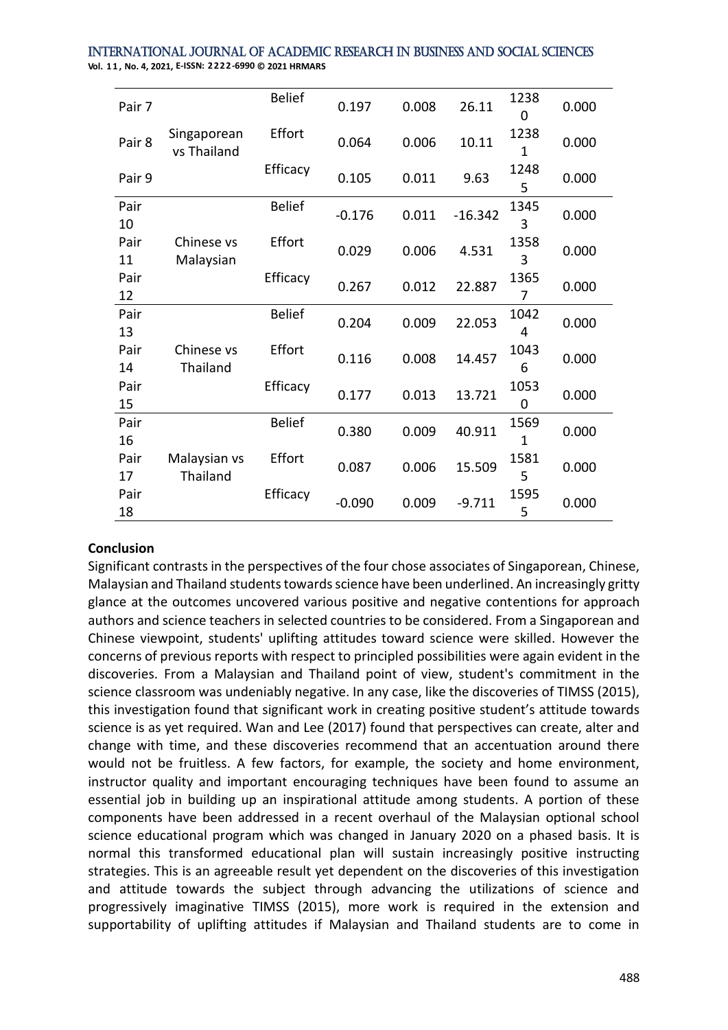| Pair 7     | Singaporean<br>vs Thailand | <b>Belief</b> | 0.197    | 0.008 | 26.11     | 1238<br>0            | 0.000 |
|------------|----------------------------|---------------|----------|-------|-----------|----------------------|-------|
| Pair 8     |                            | Effort        | 0.064    | 0.006 | 10.11     | 1238<br>$\mathbf{1}$ | 0.000 |
| Pair 9     |                            | Efficacy      | 0.105    | 0.011 | 9.63      | 1248<br>5            | 0.000 |
| Pair<br>10 |                            | <b>Belief</b> | $-0.176$ | 0.011 | $-16.342$ | 1345<br>3            | 0.000 |
| Pair<br>11 | Chinese vs<br>Malaysian    | Effort        | 0.029    | 0.006 | 4.531     | 1358<br>3            | 0.000 |
| Pair<br>12 |                            | Efficacy      | 0.267    | 0.012 | 22.887    | 1365<br>7            | 0.000 |
| Pair<br>13 | Chinese vs<br>Thailand     | <b>Belief</b> | 0.204    | 0.009 | 22.053    | 1042<br>4            | 0.000 |
| Pair<br>14 |                            | Effort        | 0.116    | 0.008 | 14.457    | 1043<br>6            | 0.000 |
| Pair<br>15 |                            | Efficacy      | 0.177    | 0.013 | 13.721    | 1053<br>0            | 0.000 |
| Pair<br>16 |                            | <b>Belief</b> | 0.380    | 0.009 | 40.911    | 1569<br>$\mathbf{1}$ | 0.000 |
| Pair<br>17 | Malaysian vs<br>Thailand   | Effort        | 0.087    | 0.006 | 15.509    | 1581<br>5            | 0.000 |
| Pair<br>18 |                            | Efficacy      | $-0.090$ | 0.009 | $-9.711$  | 1595<br>5            | 0.000 |

#### International Journal of Academic Research in Business and Social Sciences **Vol. 1 1 , No. 4, 2021, E-ISSN: 2222-6990 © 2021 HRMARS**

#### **Conclusion**

Significant contrasts in the perspectives of the four chose associates of Singaporean, Chinese, Malaysian and Thailand students towards science have been underlined. An increasingly gritty glance at the outcomes uncovered various positive and negative contentions for approach authors and science teachers in selected countries to be considered. From a Singaporean and Chinese viewpoint, students' uplifting attitudes toward science were skilled. However the concerns of previous reports with respect to principled possibilities were again evident in the discoveries. From a Malaysian and Thailand point of view, student's commitment in the science classroom was undeniably negative. In any case, like the discoveries of TIMSS (2015), this investigation found that significant work in creating positive student's attitude towards science is as yet required. Wan and Lee (2017) found that perspectives can create, alter and change with time, and these discoveries recommend that an accentuation around there would not be fruitless. A few factors, for example, the society and home environment, instructor quality and important encouraging techniques have been found to assume an essential job in building up an inspirational attitude among students. A portion of these components have been addressed in a recent overhaul of the Malaysian optional school science educational program which was changed in January 2020 on a phased basis. It is normal this transformed educational plan will sustain increasingly positive instructing strategies. This is an agreeable result yet dependent on the discoveries of this investigation and attitude towards the subject through advancing the utilizations of science and progressively imaginative TIMSS (2015), more work is required in the extension and supportability of uplifting attitudes if Malaysian and Thailand students are to come in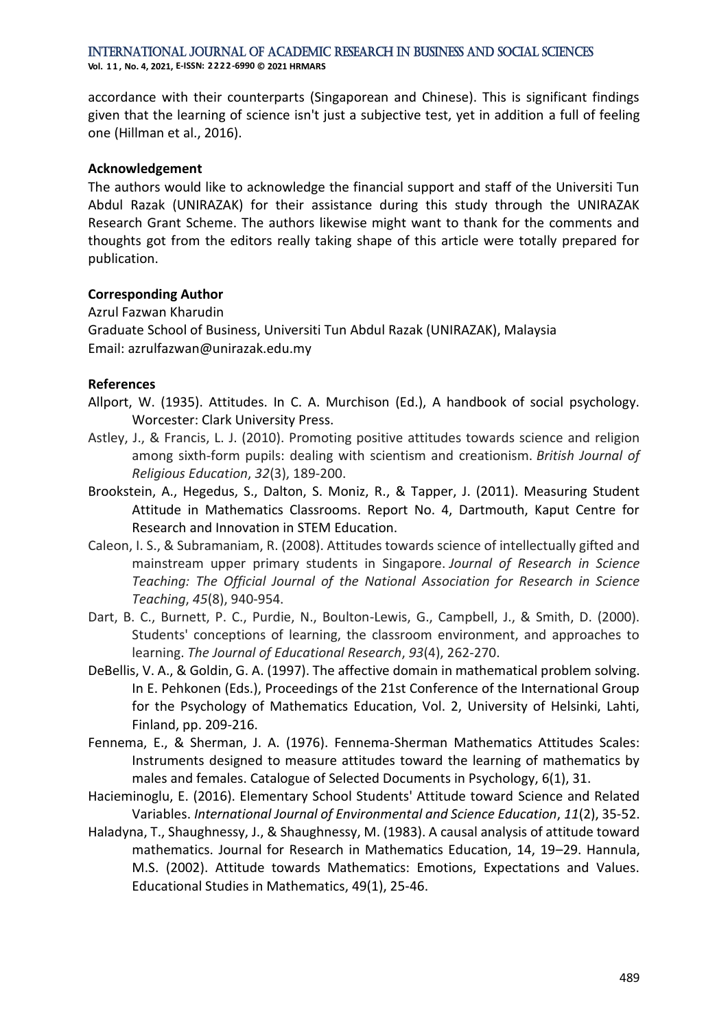International Journal of Academic Research in Business and Social Sciences **Vol. 1 1 , No. 4, 2021, E-ISSN: 2222-6990 © 2021 HRMARS**

accordance with their counterparts (Singaporean and Chinese). This is significant findings given that the learning of science isn't just a subjective test, yet in addition a full of feeling one (Hillman et al., 2016).

#### **Acknowledgement**

The authors would like to acknowledge the financial support and staff of the Universiti Tun Abdul Razak (UNIRAZAK) for their assistance during this study through the UNIRAZAK Research Grant Scheme. The authors likewise might want to thank for the comments and thoughts got from the editors really taking shape of this article were totally prepared for publication.

#### **Corresponding Author**

Azrul Fazwan Kharudin Graduate School of Business, Universiti Tun Abdul Razak (UNIRAZAK), Malaysia Email: azrulfazwan@unirazak.edu.my

#### **References**

- Allport, W. (1935). Attitudes. In C. A. Murchison (Ed.), A handbook of social psychology. Worcester: Clark University Press.
- Astley, J., & Francis, L. J. (2010). Promoting positive attitudes towards science and religion among sixth‐form pupils: dealing with scientism and creationism. *British Journal of Religious Education*, *32*(3), 189-200.
- Brookstein, A., Hegedus, S., Dalton, S. Moniz, R., & Tapper, J. (2011). Measuring Student Attitude in Mathematics Classrooms. Report No. 4, Dartmouth, Kaput Centre for Research and Innovation in STEM Education.
- Caleon, I. S., & Subramaniam, R. (2008). Attitudes towards science of intellectually gifted and mainstream upper primary students in Singapore. *Journal of Research in Science Teaching: The Official Journal of the National Association for Research in Science Teaching*, *45*(8), 940-954.
- Dart, B. C., Burnett, P. C., Purdie, N., Boulton-Lewis, G., Campbell, J., & Smith, D. (2000). Students' conceptions of learning, the classroom environment, and approaches to learning. *The Journal of Educational Research*, *93*(4), 262-270.
- DeBellis, V. A., & Goldin, G. A. (1997). The affective domain in mathematical problem solving. In E. Pehkonen (Eds.), Proceedings of the 21st Conference of the International Group for the Psychology of Mathematics Education, Vol. 2, University of Helsinki, Lahti, Finland, pp. 209-216.
- Fennema, E., & Sherman, J. A. (1976). Fennema-Sherman Mathematics Attitudes Scales: Instruments designed to measure attitudes toward the learning of mathematics by males and females. Catalogue of Selected Documents in Psychology, 6(1), 31.
- Hacieminoglu, E. (2016). Elementary School Students' Attitude toward Science and Related Variables. *International Journal of Environmental and Science Education*, *11*(2), 35-52.
- Haladyna, T., Shaughnessy, J., & Shaughnessy, M. (1983). A causal analysis of attitude toward mathematics. Journal for Research in Mathematics Education, 14, 19–29. Hannula, M.S. (2002). Attitude towards Mathematics: Emotions, Expectations and Values. Educational Studies in Mathematics, 49(1), 25-46.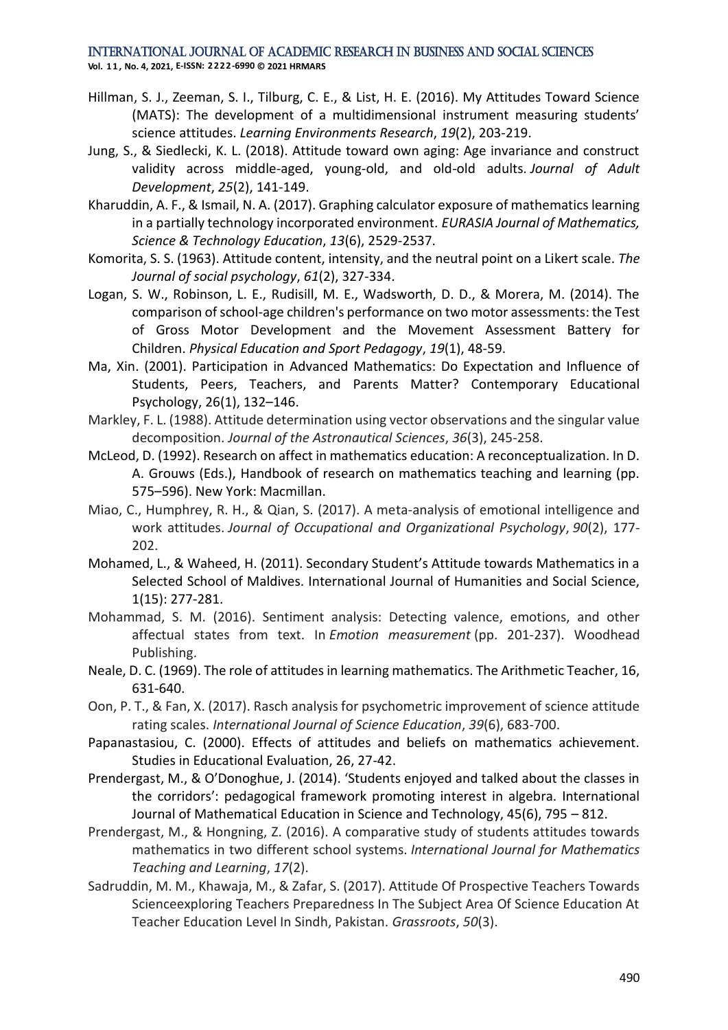**Vol. 1 1 , No. 4, 2021, E-ISSN: 2222-6990 © 2021 HRMARS**

- Hillman, S. J., Zeeman, S. I., Tilburg, C. E., & List, H. E. (2016). My Attitudes Toward Science (MATS): The development of a multidimensional instrument measuring students' science attitudes. *Learning Environments Research*, *19*(2), 203-219.
- Jung, S., & Siedlecki, K. L. (2018). Attitude toward own aging: Age invariance and construct validity across middle-aged, young-old, and old-old adults. *Journal of Adult Development*, *25*(2), 141-149.
- Kharuddin, A. F., & Ismail, N. A. (2017). Graphing calculator exposure of mathematics learning in a partially technology incorporated environment. *EURASIA Journal of Mathematics, Science & Technology Education*, *13*(6), 2529-2537.
- Komorita, S. S. (1963). Attitude content, intensity, and the neutral point on a Likert scale. *The Journal of social psychology*, *61*(2), 327-334.
- Logan, S. W., Robinson, L. E., Rudisill, M. E., Wadsworth, D. D., & Morera, M. (2014). The comparison of school-age children's performance on two motor assessments: the Test of Gross Motor Development and the Movement Assessment Battery for Children. *Physical Education and Sport Pedagogy*, *19*(1), 48-59.
- Ma, Xin. (2001). Participation in Advanced Mathematics: Do Expectation and Influence of Students, Peers, Teachers, and Parents Matter? Contemporary Educational Psychology, 26(1), 132–146.
- Markley, F. L. (1988). Attitude determination using vector observations and the singular value decomposition. *Journal of the Astronautical Sciences*, *36*(3), 245-258.
- McLeod, D. (1992). Research on affect in mathematics education: A reconceptualization. In D. A. Grouws (Eds.), Handbook of research on mathematics teaching and learning (pp. 575–596). New York: Macmillan.
- Miao, C., Humphrey, R. H., & Qian, S. (2017). A meta‐analysis of emotional intelligence and work attitudes. *Journal of Occupational and Organizational Psychology*, *90*(2), 177- 202.
- Mohamed, L., & Waheed, H. (2011). Secondary Student's Attitude towards Mathematics in a Selected School of Maldives. International Journal of Humanities and Social Science, 1(15): 277-281.
- Mohammad, S. M. (2016). Sentiment analysis: Detecting valence, emotions, and other affectual states from text. In *Emotion measurement* (pp. 201-237). Woodhead Publishing.
- Neale, D. C. (1969). The role of attitudes in learning mathematics. The Arithmetic Teacher, 16, 631-640.
- Oon, P. T., & Fan, X. (2017). Rasch analysis for psychometric improvement of science attitude rating scales. *International Journal of Science Education*, *39*(6), 683-700.
- Papanastasiou, C. (2000). Effects of attitudes and beliefs on mathematics achievement. Studies in Educational Evaluation, 26, 27-42.
- Prendergast, M., & O'Donoghue, J. (2014). 'Students enjoyed and talked about the classes in the corridors': pedagogical framework promoting interest in algebra. International Journal of Mathematical Education in Science and Technology, 45(6), 795 – 812.
- Prendergast, M., & Hongning, Z. (2016). A comparative study of students attitudes towards mathematics in two different school systems. *International Journal for Mathematics Teaching and Learning*, *17*(2).
- Sadruddin, M. M., Khawaja, M., & Zafar, S. (2017). Attitude Of Prospective Teachers Towards Scienceexploring Teachers Preparedness In The Subject Area Of Science Education At Teacher Education Level In Sindh, Pakistan. *Grassroots*, *50*(3).